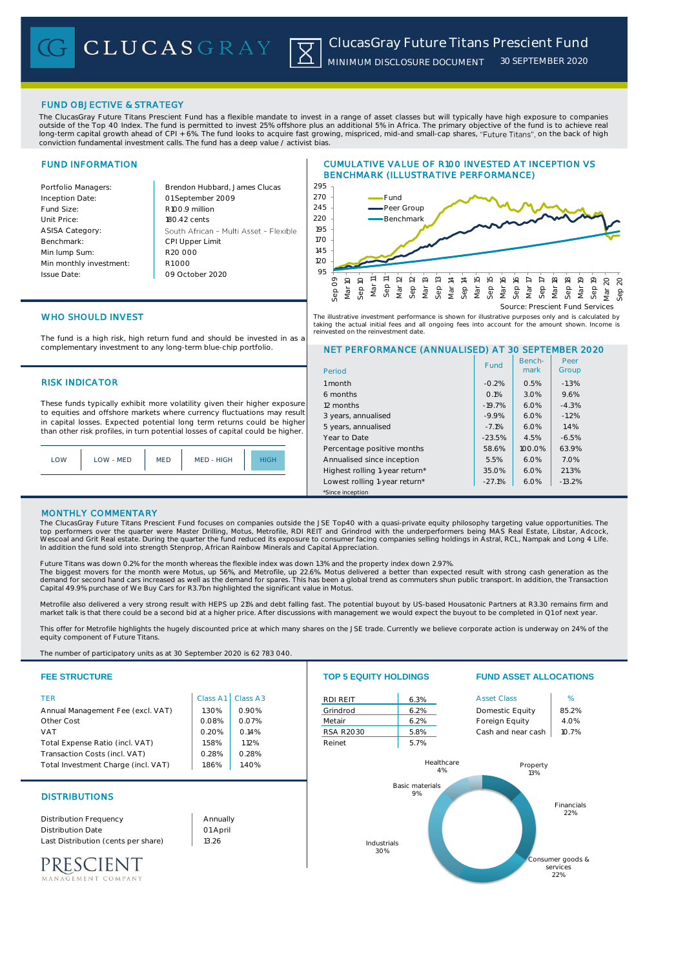# FUND OBJECTIVE & STRATEGY

The ClucasGray Future Titans Prescient Fund has a flexible mandate to invest in a range of asset classes but will typically have high exposure to companies outside of the Top 40 Index. The fund is permitted to invest 25% offshore plus an additional 5% in Africa. The primary objective of the fund is to achieve real long-term capital growth ahead of CPI + 6%. The fund looks to acquire fast growing, mispriced, mid-and small-cap shares, "Future Titans", on the back of high conviction fundamental investment calls. The fund has a deep value / activist bias.

# FUND INFORMATION

Benchmark:

Issue Date:

Portfolio Managers: Brendon Hubbard, James Clucas 01 September 2009 Inception Date: Fund Size: R100.9 million Unit Price: 180.42 cents ASISA Category: South African - Multi Asset - Flexible CPI Upper Limit R20 000 Min lump Sum: Min monthly investment: R1 000 09 October 2020 95





NET PERFORMANCE (ANNUALISED) AT 30 SEPTEMBER 2020

Benchmark

Fund | Bench- | Peer<br>| mark | Group

Peer

6 months 0.1% 3.0% 9.6% 12 months -19.7% 6.0% -4.3% 3 years, annualised -9.9% 6.0% -1.2% 5 years, annualised -7.1% 6.0% 1.4% Year to Date -23.5% 4.5% -6.5% Percentage positive months 158.6% 100.0% 63.9% Annualised since inception<br>
Highest rolling 1-year return\* 15.5% 6.0% 21.3% Highest rolling 1-year return\* 135.0% 6.0% 21.3% Lowest rolling 1-year return\* | -27.1% | 6.0% | -13.2%

# WHO SHOULD INVEST

The fund is a high risk, high return fund and should be invested in as a complementary investment to any long-term blue-chip portfolio.

## RISK INDICATOR 1 month 1 month 1 month 1 month 0.2% 0.5% -1.3%

These funds typically exhibit more volatility given their higher exposure to equities and offshore markets where currency fluctuations may result in capital losses. Expected potential long term returns could be higher than other risk profiles, in turn potential losses of capital could be higher.

| LOW | LOW - MED | <b>MED</b> | MED - HIGH | <b>HIGH</b> |
|-----|-----------|------------|------------|-------------|
|     |           |            |            |             |

# MONTHLY COMMENTARY

The ClucasGray Future Titans Prescient Fund focuses on companies outside the JSE Top40 with a quasi-private equity philosophy targeting value opportunities. The<br>top performers over the quarter were Master Drilling, Motus, In addition the fund sold into strength Stenprop, African Rainbow Minerals and Capital Appreciation.

\*Since inception

Period

Future Titans was down 0.2% for the month whereas the flexible index was down 1.3% and the property index down 2.97%. The biggest movers for the month were Motus, up 56%, and Metrofile, up 22.6%. Motus delivered a better than expected result with strong cash generation as the<br>demand for second hand cars increased as well as the demand for

Metrofile also delivered a very strong result with HEPS up 21% and debt falling fast. The potential buyout by US-based Housatonic Partners at R3.30 remains firm and market talk is that there could be a second bid at a higher price. After discussions with management we would expect the buyout to be completed in Q1 of next year.

This offer for Metrofile highlights the hugely discounted price at which many shares on the JSE trade. Currently we believe corporate action is underway on 24% of the equity component of Future Titans

The number of participatory units as at 30 September 2020 is 62 783 040.